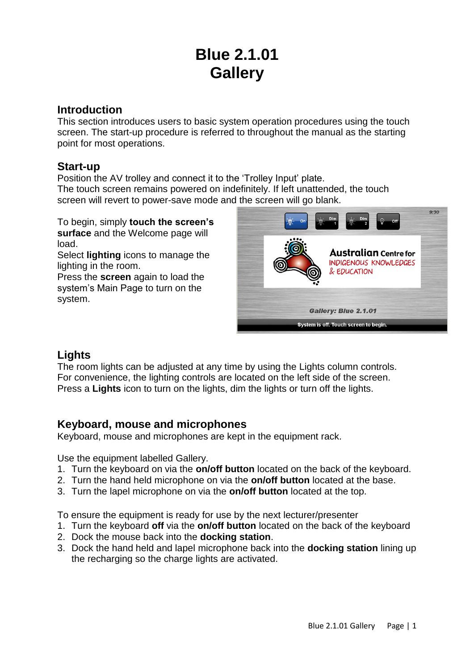# **Blue 2.1.01 Gallery**

## **Introduction**

This section introduces users to basic system operation procedures using the touch screen. The start-up procedure is referred to throughout the manual as the starting point for most operations.

### **Start-up**

Position the AV trolley and connect it to the 'Trolley Input' plate. The touch screen remains powered on indefinitely. If left unattended, the touch screen will revert to power-save mode and the screen will go blank.

To begin, simply **touch the screen's surface** and the Welcome page will load.

Select **lighting** icons to manage the lighting in the room.

Press the **screen** again to load the system's Main Page to turn on the system.



## **Lights**

The room lights can be adjusted at any time by using the Lights column controls. For convenience, the lighting controls are located on the left side of the screen. Press a **Lights** icon to turn on the lights, dim the lights or turn off the lights.

## **Keyboard, mouse and microphones**

Keyboard, mouse and microphones are kept in the equipment rack.

Use the equipment labelled Gallery.

- 1. Turn the keyboard on via the **on/off button** located on the back of the keyboard.
- 2. Turn the hand held microphone on via the **on/off button** located at the base.
- 3. Turn the lapel microphone on via the **on/off button** located at the top.

To ensure the equipment is ready for use by the next lecturer/presenter

- 1. Turn the keyboard **off** via the **on/off button** located on the back of the keyboard
- 2. Dock the mouse back into the **docking station**.
- 3. Dock the hand held and lapel microphone back into the **docking station** lining up the recharging so the charge lights are activated.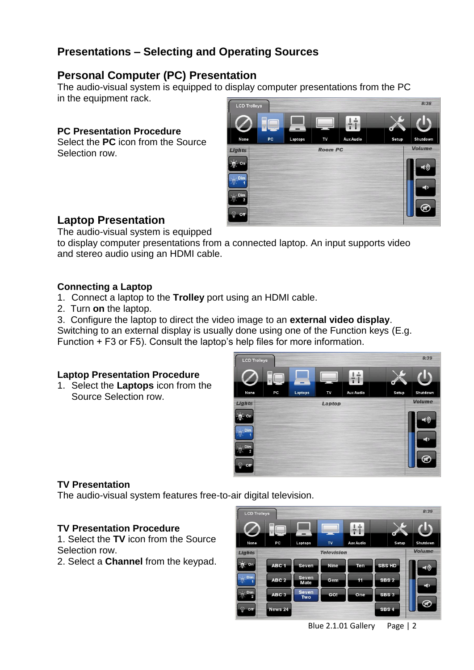# **Presentations – Selecting and Operating Sources**

## **Personal Computer (PC) Presentation**

The audio-visual system is equipped to display computer presentations from the PC in the equipment rack.

#### **PC Presentation Procedure**

Select the **PC** icon from the Source Selection row.



## **Laptop Presentation**

The audio-visual system is equipped

to display computer presentations from a connected laptop. An input supports video and stereo audio using an HDMI cable.

#### **Connecting a Laptop**

- 1. Connect a laptop to the **Trolley** port using an HDMI cable.
- 2. Turn **on** the laptop.

3. Configure the laptop to direct the video image to an **external video display**.

Switching to an external display is usually done using one of the Function keys (E.g. Function + F3 or F5). Consult the laptop's help files for more information.

#### **Laptop Presentation Procedure**

1. Select the **Laptops** icon from the Source Selection row.



## **TV Presentation**

The audio-visual system features free-to-air digital television.

#### **TV Presentation Procedure**

1. Select the **TV** icon from the Source Selection row.

2. Select a **Channel** from the keypad.

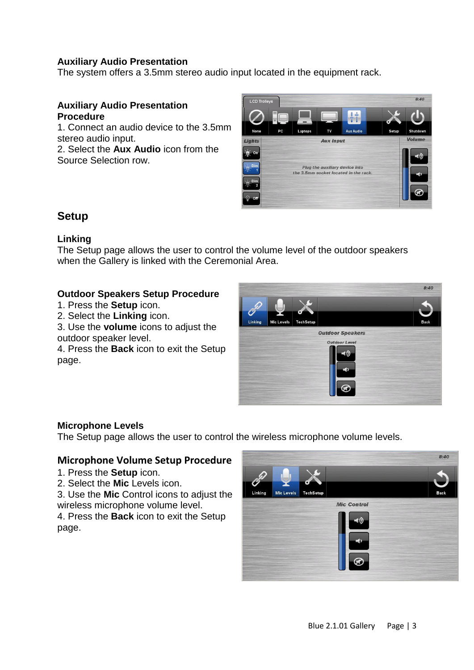#### **Auxiliary Audio Presentation**

The system offers a 3.5mm stereo audio input located in the equipment rack.

#### **Auxiliary Audio Presentation Procedure**

1. Connect an audio device to the 3.5mm stereo audio input.

2. Select the **Aux Audio** icon from the Source Selection row.



## **Setup**

#### **Linking**

The Setup page allows the user to control the volume level of the outdoor speakers when the Gallery is linked with the Ceremonial Area.

#### **Outdoor Speakers Setup Procedure**

- 1. Press the **Setup** icon.
- 2. Select the **Linking** icon.
- 3. Use the **volume** icons to adjust the outdoor speaker level.

4. Press the **Back** icon to exit the Setup page.



#### **Microphone Levels**

The Setup page allows the user to control the wireless microphone volume levels.

#### **Microphone Volume Setup Procedure**

- 1. Press the **Setup** icon.
- 2. Select the **Mic** Levels icon.

3. Use the **Mic** Control icons to adjust the wireless microphone volume level.

4. Press the **Back** icon to exit the Setup page.